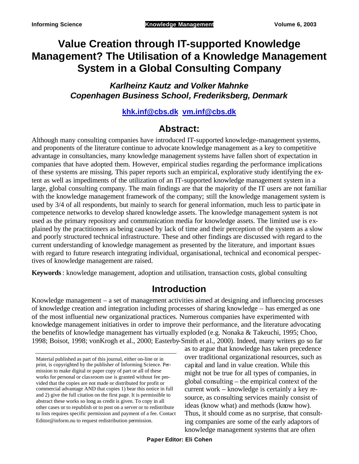# **Value Creation through IT-supported Knowledge Management? The Utilisation of a Knowledge Management System in a Global Consulting Company**

*Karlheinz Kautz and Volker Mahnke Copenhagen Business School, Frederiksberg, Denmark*

### **khk.inf@cbs.dk vm.inf@cbs.dk**

# **Abstract:**

Although many consulting companies have introduced IT-supported knowledge-management systems, and proponents of the literature continue to advocate knowledge management as a key to competitive advantage in consultancies, many knowledge management systems have fallen short of expectation in companies that have adopted them. However, empirical studies regarding the performance implications of these systems are missing. This paper reports such an empirical, explorative study identifying the extent as well as impediments of the utilization of an IT-supported knowledge management system in a large, global consulting company. The main findings are that the majority of the IT users are not familiar with the knowledge management framework of the company; still the knowledge management system is used by 3/4 of all respondents, but mainly to search for general information, much less to participate in competence networks to develop shared knowledge assets. The knowledge management system is not used as the primary repository and communication media for knowledge assets. The limited use is explained by the practitioners as being caused by lack of time and their perception of the system as a slow and poorly structured technical infrastructure. These and other findings are discussed with regard to the current understanding of knowledge management as presented by the literature, and important issues with regard to future research integrating individual, organisational, technical and economical perspectives of knowledge management are raised.

**Keywords**: knowledge management, adoption and utilisation, transaction costs, global consulting

## **Introduction**

Knowledge management – a set of management activities aimed at designing and influencing processes of knowledge creation and integration including processes of sharing knowledge – has emerged as one of the most influential new organizational practices. Numerous companies have experimented with knowledge management initiatives in order to improve their performance, and the literature advocating the benefits of knowledge management has virtually exploded (e.g. Nonaka & Takeuchi, 1995; Choo, 1998; Boisot, 1998; vonKrogh et al., 2000; Easterby-Smith et al., 2000). Indeed, many writers go so far

as to argue that knowledge has taken precedence over traditional organizational resources, such as capital and land in value creation. While this might not be true for all types of companies, in global consulting – the empirical context of the current work – knowledge is certainly a key resource, as consulting services mainly consist of ideas (know what) and methods (know how). Thus, it should come as no surprise, that consulting companies are some of the early adaptors of knowledge management systems that are often

Material published as part of this journal, either on-line or in print, is copyrighted by the publisher of Informing Science. Permission to make digital or paper copy of part or all of these works for personal or classroom use is granted without fee provided that the copies are not made or distributed for profit or commercial advantage AND that copies 1) bear this notice in full and 2) give the full citation on the first page. It is permissible to abstract these works so long as credit is given. To copy in all other cases or to republish or to post on a server or to redistribute to lists requires specific permission and payment of a fee. Contact Editor@inform.nu to request redistribution permission.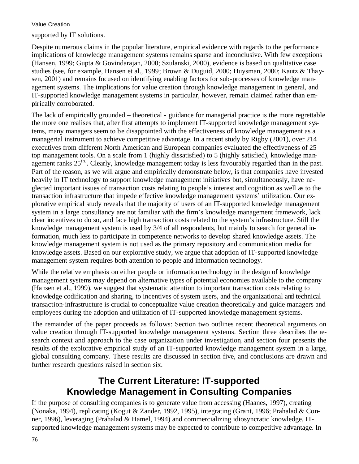supported by IT solutions.

Despite numerous claims in the popular literature, empirical evidence with regards to the performance implications of knowledge management systems remains sparse and inconclusive. With few exceptions (Hansen, 1999; Gupta & Govindarajan, 2000; Szulanski, 2000), evidence is based on qualitative case studies (see, for example, Hansen et al., 1999; Brown & Duguid, 2000; Huysman, 2000; Kautz & Thaysen, 2001) and remains focused on identifying enabling factors for sub-processes of knowledge management systems. The implications for value creation through knowledge management in general, and IT-supported knowledge management systems in particular, however, remain claimed rather than empirically corroborated.

The lack of empirically grounded – theoretical - guidance for managerial practice is the more regrettable the more one realises that, after first attempts to implement IT-supported knowledge management systems, many managers seem to be disappointed with the effectiveness of knowledge management as a managerial instrument to achieve competitive advantage. In a recent study by Rigby (2001), over 214 executives from different North American and European companies evaluated the effectiveness of 25 top management tools. On a scale from 1 (highly dissatisfied) to 5 (highly satisfied), knowledge management ranks 25<sup>th</sup>. Clearly, knowledge management today is less favourably regarded than in the past. Part of the reason, as we will argue and empirically demonstrate below, is that companies have invested heavily in IT technology to support knowledge management initiatives but, simultaneously, have neglected important issues of transaction costs relating to people's interest and cognition as well as to the transaction infrastructure that impede effective knowledge management systems' utilization. Our explorative empirical study reveals that the majority of users of an IT-supported knowledge management system in a large consultancy are not familiar with the firm's knowledge management framework, lack clear incentives to do so, and face high transaction costs related to the system's infrastructure. Still the knowledge management system is used by 3/4 of all respondents, but mainly to search for general information, much less to participate in competence networks to develop shared knowledge assets. The knowledge management system is not used as the primary repository and communication media for knowledge assets. Based on our explorative study, we argue that adoption of IT-supported knowledge management system requires both attention to people and information technology.

While the relative emphasis on either people or information technology in the design of knowledge management systems may depend on alternative types of potential economies available to the company (Hansen et al., 1999), we suggest that systematic attention to important transaction costs relating to knowledge codification and sharing, to incentives of system users, and the organizational and technical transaction-infrastructure is crucial to conceptualize value creation theoretically and guide managers and employees during the adoption and utilization of IT-supported knowledge management systems.

The remainder of the paper proceeds as follows: Section two outlines recent theoretical arguments on value creation through IT-supported knowledge management systems. Section three describes the research context and approach to the case organization under investigation, and section four presents the results of the explorative empirical study of an IT-supported knowledge management system in a large, global consulting company. These results are discussed in section five, and conclusions are drawn and further research questions raised in section six.

# **The Current Literature: IT-supported Knowledge Management in Consulting Companies**

If the purpose of consulting companies is to generate value from accessing (Haanes, 1997), creating (Nonaka, 1994), replicating (Kogut & Zander, 1992, 1995), integrating (Grant, 1996; Prahalad & Conner, 1996), leveraging (Prahalad & Hamel, 1994) and commercializing idiosyncratic knowledge, ITsupported knowledge management systems may be expected to contribute to competitive advantage. In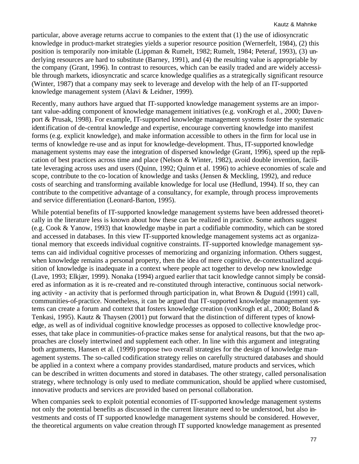particular, above average returns accrue to companies to the extent that (1) the use of idiosyncratic knowledge in product-market strategies yields a superior resource position (Wernerfelt, 1984), (2) this position is temporarily non-imitable (Lippman & Rumelt, 1982; Rumelt, 1984; Peteraf, 1993), (3) underlying resources are hard to substitute (Barney, 1991), and (4) the resulting value is appropriable by the company (Grant, 1996). In contrast to resources, which can be easily traded and are widely accessible through markets, idiosyncratic and scarce knowledge qualifies as a strategically significant resource (Winter, 1987) that a company may seek to leverage and develop with the help of an IT-supported knowledge management system (Alavi & Leidner, 1999).

Recently, many authors have argued that IT-supported knowledge management systems are an important value-adding component of knowledge management initiatives (e.g. vonKrogh et al., 2000; Davenport & Prusak, 1998). For example, IT-supported knowledge management systems foster the systematic identification of de-central knowledge and expertise, encourage converting knowledge into manifest forms (e.g. explicit knowledge), and make information accessible to others in the firm for local use in terms of knowledge re-use and as input for knowledge-development. Thus, IT-supported knowledge management systems may ease the integration of dispersed knowledge (Grant, 1996), speed up the replication of best practices across time and place (Nelson & Winter, 1982), avoid double invention, facilitate leveraging across uses and users (Quinn, 1992; Quinn et al. 1996) to achieve economies of scale and scope, contribute to the co-location of knowledge and tasks (Jensen & Meckling, 1992), and reduce costs of searching and transforming available knowledge for local use (Hedlund, 1994). If so, they can contribute to the competitive advantage of a consultancy, for example, through process improvements and service differentiation (Leonard-Barton, 1995).

While potential benefits of IT-supported knowledge management systems have been addressed theoretically in the literature less is known about how these can be realized in practice. Some authors suggest (e.g. Cook & Yanow, 1993) that knowledge maybe in part a codifiable commodity, which can be stored and accessed in databases. In this view IT-supported knowledge management systems act as organizational memory that exceeds individual cognitive constraints. IT-supported knowledge management systems can aid individual cognitive processes of memorizing and organizing information. Others suggest, when knowledge remains a personal property, then the idea of mere cognitive, de-contextualized acquisition of knowledge is inadequate in a context where people act together to develop new knowledge (Lave, 1993; Elkjær, 1999). Nonaka (1994) argued earlier that tacit knowledge cannot simply be considered as information as it is re-created and re-constituted through interactive, continuous social networking activity - an activity that is performed through participation in, what Brown & Duguid (1991) call, communities-of-practice. Nonetheless, it can be argued that IT-supported knowledge management systems can create a forum and context that fosters knowledge creation (vonKrogh et al., 2000; Boland & Tenkasi, 1995). Kautz & Thaysen (2001) put forward that the distinction of different types of knowledge, as well as of individual cognitive knowledge processes as opposed to collective knowledge processes, that take place in communities-of-practice makes sense for analytical reasons, but that the two approaches are closely intertwined and supplement each other. In line with this argument and integrating both arguments, Hansen et al. (1999) propose two overall strategies for the design of knowledge management systems. The so-called codification strategy relies on carefully structured databases and should be applied in a context where a company provides standardised, mature products and services, which can be described in written documents and stored in databases. The other strategy, called personalisation strategy, where technology is only used to mediate communication, should be applied where customised, innovative products and services are provided based on personal collaboration.

When companies seek to exploit potential economies of IT-supported knowledge management systems not only the potential benefits as discussed in the current literature need to be understood, but also investments and costs of IT supported knowledge management systems should be considered. However, the theoretical arguments on value creation through IT supported knowledge management as presented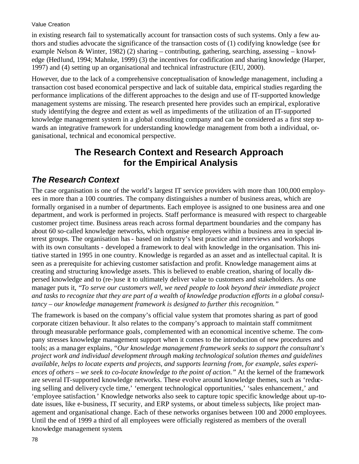in existing research fail to systematically account for transaction costs of such systems. Only a few authors and studies advocate the significance of the transaction costs of (1) codifying knowledge (see for example Nelson & Winter, 1982) (2) sharing – contributing, gathering, searching, assessing – knowledge (Hedlund, 1994; Mahnke, 1999) (3) the incentives for codification and sharing knowledge (Harper, 1997) and (4) setting up an organisational and technical infrastructure (EIU, 2000).

However, due to the lack of a comprehensive conceptualisation of knowledge management, including a transaction cost based economical perspective and lack of suitable data, empirical studies regarding the performance implications of the different approaches to the design and use of IT-supported knowledge management systems are missing. The research presented here provides such an empirical, explorative study identifying the degree and extent as well as impediments of the utilization of an IT-supported knowledge management system in a global consulting company and can be considered as a first step towards an integrative framework for understanding knowledge management from both a individual, organisational, technical and economical perspective.

# **The Research Context and Research Approach for the Empirical Analysis**

## *The Research Context*

The case organisation is one of the world's largest IT service providers with more than 100,000 employees in more than a 100 countries. The company distinguishes a number of business areas, which are formally organised in a number of departments. Each employee is assigned to one business area and one department, and work is performed in projects. Staff performance is measured with respect to chargeable customer project time. Business areas reach across formal department boundaries and the company has about 60 so-called knowledge networks, which organise employees within a business area in special interest groups. The organisation has- based on industry's best practice and interviews and workshops with its own consultants - developed a framework to deal with knowledge in the organisation. This intiative started in 1995 in one country. Knowledge is regarded as an asset and as intellectual capital. It is seen as a prerequisite for achieving customer satisfaction and profit. Knowledge management aims at creating and structuring knowledge assets. This is believed to enable creation, sharing of locally dispersed knowledge and to (re-)use it to ultimately deliver value to customers and stakeholders. As one manager puts it, "*To serve our customers well, we need people to look beyond their immediate project and tasks to recognize that they are part of a wealth of knowledge production efforts in a global consultancy – our knowledge management framework is designed to further this recognition."*

The framework is based on the company's official value system that promotes sharing as part of good corporate citizen behaviour. It also relates to the company's approach to maintain staff commitment through measurable performance goals, complemented with an economical incentive scheme. The company stresses knowledge management support when it comes to the introduction of new procedures and tools; as a manager explains, "*Our knowledge management framework seeks to support the consultant's project work and individual development through making technological solution themes and guidelines available, helps to locate experts and projects, and supports learning from, for example, sales experiences of others – we seek to co-locate knowledge to the point of action."* At the kernel of the framework are several IT-supported knowledge networks. These evolve around knowledge themes, such as 'reducing selling and delivery cycle time,' 'emergent technological opportunities,' 'sales enhancement,' and 'employee satisfaction.' Knowledge networks also seek to capture topic specific knowledge about up-todate issues, like e-business, IT security, and ERP systems, or about timele ss subjects, like project management and organisational change. Each of these networks organises between 100 and 2000 employees. Until the end of 1999 a third of all employees were officially registered as members of the overall knowledge management system.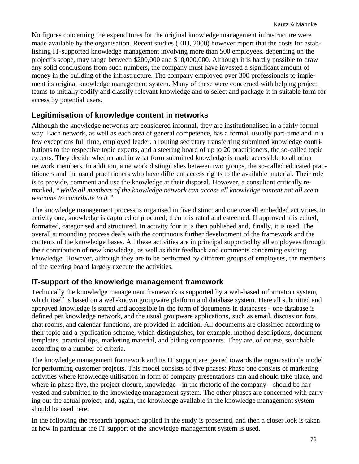No figures concerning the expenditures for the original knowledge management infrastructure were made available by the organisation. Recent studies (EIU, 2000) however report that the costs for establishing IT-supported knowledge management involving more than 500 employees, depending on the project's scope, may range between \$200,000 and \$10,000,000. Although it is hardly possible to draw any solid conclusions from such numbers, the company must have invested a significant amount of money in the building of the infrastructure. The company employed over 300 professionals to implement its original knowledge management system. Many of these were concerned with helping project teams to initially codify and classify relevant knowledge and to select and package it in suitable form for access by potential users.

### **Legitimisation of knowledge content in networks**

Although the knowledge networks are considered informal, they are institutionalised in a fairly formal way. Each network, as well as each area of general competence, has a formal, usually part-time and in a few exceptions full time, employed leader, a routing secretary transferring submitted knowledge contributions to the respective topic experts, and a steering board of up to 20 practitioners, the so-called topic experts. They decide whether and in what form submitted knowledge is made accessible to all other network members. In addition, a network distinguishes between two groups, the so-called educated practitioners and the usual practitioners who have different access rights to the available material. Their role is to provide, comment and use the knowledge at their disposal. However, a consultant critically remarked, *"While all members of the knowledge network can access all knowledge content not all seem welcome to contribute to it."*

The knowledge management process is organised in five distinct and one overall embedded activities. In activity one, knowledge is captured or procured; then it is rated and esteemed. If approved it is edited, formatted, categorised and structured. In activity four it is then published and, finally, it is used. The overall surrounding process deals with the continuous further development of the framework and the contents of the knowledge bases. All these activities are in principal supported by all employees through their contribution of new knowledge, as well as their feedback and comments concerning existing knowledge. However, although they are to be performed by different groups of employees, the members of the steering board largely execute the activities.

### **IT-support of the knowledge management framework**

Technically the knowledge management framework is supported by a web-based information system, which itself is based on a well-known groupware platform and database system. Here all submitted and approved knowledge is stored and accessible in the form of documents in databases - one database is defined per knowledge network, and the usual groupware applications, such as email, discussion fora, chat rooms, and calendar functions, are provided in addition. All documents are classified according to their topic and a typification scheme, which distinguishes, for example, method descriptions, document templates, practical tips, marketing material, and biding components. They are, of course, searchable according to a number of criteria.

The knowledge management framework and its IT support are geared towards the organisation's model for performing customer projects. This model consists of five phases: Phase one consists of marketing activities where knowledge utilisation in form of company presentations can and should take place, and where in phase five, the project closure, knowledge - in the rhetoric of the company - should be harvested and submitted to the knowledge management system. The other phases are concerned with carrying out the actual project, and, again, the knowledge available in the knowledge management system should be used here.

In the following the research approach applied in the study is presented, and then a closer look is taken at how in particular the IT support of the knowledge management system is used.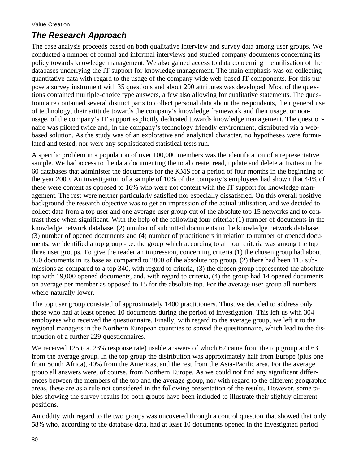# *The Research Approach*

The case analysis proceeds based on both qualitative interview and survey data among user groups. We conducted a number of formal and informal interviews and studied company documents concerning its policy towards knowledge management. We also gained access to data concerning the utilisation of the databases underlying the IT support for knowledge management. The main emphasis was on collecting quantitative data with regard to the usage of the company wide web-based IT components. For this purpose a survey instrument with 35 questions and about 200 attributes was developed. Most of the que stions contained multiple-choice type answers, a few also allowing for qualitative statements. The questionnaire contained several distinct parts to collect personal data about the respondents, their general use of technology, their attitude towards the company's knowledge framework and their usage, or nonusage, of the company's IT support explicitly dedicated towards knowledge management. The questionnaire was piloted twice and, in the company's technology friendly environment, distributed via a webbased solution. As the study was of an explorative and analytical character, no hypotheses were formulated and tested, nor were any sophisticated statistical tests run.

A specific problem in a population of over 100,000 members was the identification of a representative sample. We had access to the data documenting the total create, read, update and delete activities in the 60 databases that administer the documents for the KMS for a period of four months in the beginning of the year 2000. An investigation of a sample of 10% of the company's employees had shown that 44% of these were content as opposed to 16% who were not content with the IT support for knowledge management. The rest were neither particularly satisfied nor especially dissatisfied. On this overall positive background the research objective was to get an impression of the actual utilisation, and we decided to collect data from a top user and one average user group out of the absolute top 15 networks and to contrast these when significant. With the help of the following four criteria: (1) number of documents in the knowledge network database, (2) number of submitted documents to the knowledge network database, (3) number of opened documents and (4) number of practitioners in relation to number of opened documents, we identified a top group -i.e. the group which according to all four criteria was among the top three user groups. To give the reader an impression, concerning criteria (1) the chosen group had about 950 documents in its base as compared to 2800 of the absolute top group, (2) there had been 115 submissions as compared to a top 340, with regard to criteria, (3) the chosen group represented the absolute top with 19,000 opened documents, and, with regard to criteria, (4) the group had 14 opened documents on average per member as opposed to 15 for the absolute top. For the average user group all numbers where naturally lower.

The top user group consisted of approximately 1400 practitioners. Thus, we decided to address only those who had at least opened 10 documents during the period of investigation. This left us with 304 employees who received the questionnaire. Finally, with regard to the average group, we left it to the regional managers in the Northern European countries to spread the questionnaire, which lead to the distribution of a further 229 questionnaires.

We received 125 (ca. 23% response rate) usable answers of which 62 came from the top group and 63 from the average group. In the top group the distribution was approximately half from Europe (plus one from South Africa), 40% from the Americas, and the rest from the Asia-Pacific area. For the average group all answers were, of course, from Northern Europe. As we could not find any significant differences between the members of the top and the average group, nor with regard to the different geographic areas, these are as a rule not considered in the following presentation of the results. However, some tables showing the survey results for both groups have been included to illustrate their slightly different positions.

An oddity with regard to the two groups was uncovered through a control question that showed that only 58% who, according to the database data, had at least 10 documents opened in the investigated period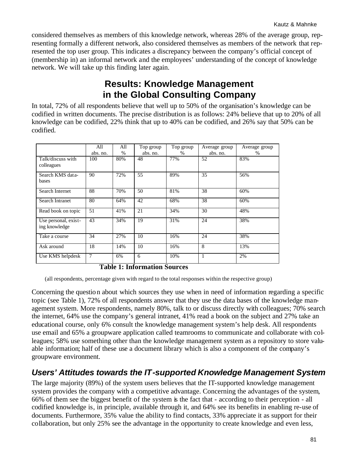considered themselves as members of this knowledge network, whereas 28% of the average group, representing formally a different network, also considered themselves as members of the network that represented the top user group. This indicates a discrepancy between the company's official concept of (membership in) an informal network and the employees' understanding of the concept of knowledge network. We will take up this finding later again.

# **Results: Knowledge Management in the Global Consulting Company**

In total, 72% of all respondents believe that well up to 50% of the organisation's knowledge can be codified in written documents. The precise distribution is as follows: 24% believe that up to 20% of all knowledge can be codified, 22% think that up to 40% can be codified, and 26% say that 50% can be codified.

|                                       | All      | All               | Top group | Top group | Average group  | Average group |
|---------------------------------------|----------|-------------------|-----------|-----------|----------------|---------------|
|                                       | abs. no. | $\%$              | abs. no.  | $\%$      | abs. no.       | $\frac{0}{0}$ |
| Talk/discuss with<br>colleagues       | 100      | 80%               | 48        | 77%       | 52             | 83%           |
| Search KMS data-<br>bases             | 90       | 72%               | 55        | 89%       | 35             | 56%           |
| Search Internet                       | 88       | 70%               | 50        | 81%       | 38             | 60%           |
| Search Intranet                       | 80       | 64%               | 42        | 68%       | 38             | 60%           |
| Read book on topic                    | 51       | 41%               | 21        | 34%       | 30             | 48%           |
| Use personal, exist-<br>ing knowledge | 43       | 34%               | 19        | 31%       | 24             | 38%           |
| Take a course                         | 34       | 27%               | 10        | 16%       | 24             | 38%           |
| Ask around                            | 18       | 14%               | 10        | 16%       | $\overline{8}$ | 13%           |
| Use KMS helpdesk                      | 7        | 6%<br>- - - - - - | 6         | 10%       | 1              | 2%            |

**Table 1: Information Sources**

(all respondents, percentage given with regard to the total responses within the respective group)

Concerning the question about which sources they use when in need of information regarding a specific topic (see Table 1), 72% of all respondents answer that they use the data bases of the knowledge management system. More respondents, namely 80%, talk to or discuss directly with colleagues; 70% search the internet, 64% use the company's general intranet, 41% read a book on the subject and 27% take an educational course, only 6% consult the knowledge management system's help desk. All respondents use email and 65% a groupware application called teamrooms to communicate and collaborate with colleagues; 58% use something other than the knowledge management system as a repository to store valuable information; half of these use a document library which is also a component of the company's groupware environment.

## *Users' Attitudes towards the IT-supported Knowledge Management System*

The large majority (89%) of the system users believes that the IT-supported knowledge management system provides the company with a competitive advantage. Concerning the advantages of the system, 66% of them see the biggest benefit of the system is the fact that - according to their perception - all codified knowledge is, in principle, available through it, and 64% see its benefits in enabling re-use of documents. Furthermore, 35% value the ability to find contacts, 33% appreciate it as support for their collaboration, but only 25% see the advantage in the opportunity to create knowledge and even less,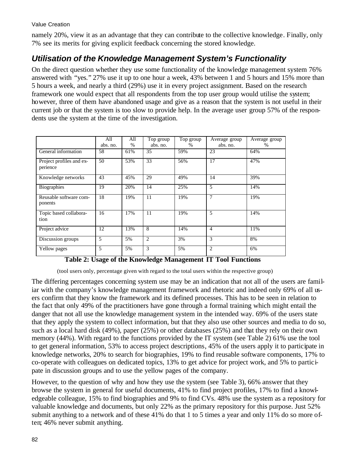namely 20%, view it as an advantage that they can contribute to the collective knowledge. Finally, only 7% see its merits for giving explicit feedback concerning the stored knowledge.

## *Utilisation of the Knowledge Management System's Functionality*

On the direct question whether they use some functionality of the knowledge management system 76% answered with "yes." 27% use it up to one hour a week, 43% between 1 and 5 hours and 15% more than 5 hours a week, and nearly a third (29%) use it in every project assignment. Based on the research framework one would expect that all respondents from the top user group would utilise the system; however, three of them have abandoned usage and give as a reason that the system is not useful in their current job or that the system is too slow to provide help. In the average user group 57% of the respondents use the system at the time of the investigation.

|                                      | All<br>abs. no. | All<br>$\%$ | Top group<br>abs. no. | Top group<br>$\%$ | Average group<br>abs. no. | Average group<br>% |
|--------------------------------------|-----------------|-------------|-----------------------|-------------------|---------------------------|--------------------|
| General information                  | 58              | 61%         | 35                    | 59%               | 23                        | 64%                |
| Project profiles and ex-<br>perience | 50              | 53%         | 33                    | 56%               | 17                        | 47%                |
| Knowledge networks                   | 43              | 45%         | 29                    | 49%               | 14                        | 39%                |
| Biographies                          | 19              | 20%         | 14                    | 25%               | 5                         | 14%                |
| Reusable software com-<br>ponents    | 18              | 19%         | 11                    | 19%               | $\overline{7}$            | 19%                |
| Topic based collabora-<br>tion       | 16              | 17%         | 11                    | 19%               | 5                         | 14%                |
| Project advice                       | 12              | 13%         | 8                     | 14%               | $\overline{4}$            | 11%                |
| Discussion groups                    | 5               | 5%          | $\overline{2}$        | 3%                | 3                         | 8%                 |
| Yellow pages                         | 5               | 5%          | 3                     | 5%                | $\overline{2}$            | 6%                 |

### **Table 2: Usage of the Knowledge Management IT Tool Functions**

(tool users only, percentage given with regard to the total users within the respective group)

The differing percentages concerning system use may be an indication that not all of the users are familiar with the company's knowledge management framework and rhetoric and indeed only 69% of all users confirm that they know the framework and its defined processes. This has to be seen in relation to the fact that only 49% of the practitioners have gone through a formal training which might entail the danger that not all use the knowledge management system in the intended way. 69% of the users state that they apply the system to collect information, but that they also use other sources and media to do so, such as a local hard disk (49%), paper (25%) or other databases (25%) and that they rely on their own memory (44%). With regard to the functions provided by the IT system (see Table 2) 61% use the tool to get general information, 53% to access project descriptions, 45% of the users apply it to participate in knowledge networks, 20% to search for biographies, 19% to find reusable software components, 17% to co-operate with colleagues on dedicated topics, 13% to get advice for project work, and 5% to participate in discussion groups and to use the yellow pages of the company.

However, to the question of why and how they use the system (see Table 3), 66% answer that they browse the system in general for useful documents, 41% to find project profiles, 17% to find a knowledgeable colleague, 15% to find biographies and 9% to find CVs. 48% use the system as a repository for valuable knowledge and documents, but only 22% as the primary repository for this purpose. Just 52% submit anything to a network and of these 41% do that 1 to 5 times a year and only 11% do so more often; 46% never submit anything.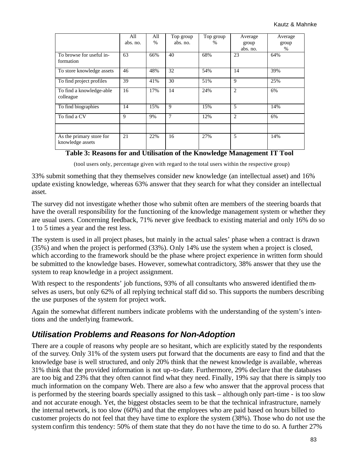|                                       | All      | All  | Top group | Top group     | Average        | Average |
|---------------------------------------|----------|------|-----------|---------------|----------------|---------|
|                                       | abs. no. | $\%$ | abs. no.  | $\frac{0}{0}$ | group          | group   |
|                                       |          |      |           |               | abs. no.       | %       |
| To browse for useful in-              | 63       | 66%  | 40        | 68%           | 23             | 64%     |
| formation                             |          |      |           |               |                |         |
| To store knowledge assets             | 46       | 48%  | 32        | 54%           | 14             | 39%     |
| To find project profiles              | 39       | 41%  | 30        | 51%           | 9              | 25%     |
| To find a knowledge-able<br>colleague | 16       | 17%  | 14        | 24%           | $\overline{2}$ | 6%      |
| To find biographies                   | 14       | 15%  | 9         | 15%           | 5              | 14%     |
| To find a CV                          | 9        | 9%   | 7         | 12%           | $\overline{2}$ | 6%      |
|                                       |          |      |           |               |                |         |
| As the primary store for              | 21       | 22%  | 16        | 27%           | 5              | 14%     |
| knowledge assets                      |          |      |           |               |                |         |

### **Table 3: Reasons for and Utilisation of the Knowledge Management IT Tool**

(tool users only, percentage given with regard to the total users within the respective group)

33% submit something that they themselves consider new knowledge (an intellectual asset) and 16% update existing knowledge, whereas 63% answer that they search for what they consider an intellectual asset.

The survey did not investigate whether those who submit often are members of the steering boards that have the overall responsibility for the functioning of the knowledge management system or whether they are usual users. Concerning feedback, 71% never give feedback to existing material and only 16% do so 1 to 5 times a year and the rest less.

The system is used in all project phases, but mainly in the actual sales' phase when a contract is drawn (35%) and when the project is performed (33%). Only 14% use the system when a project is closed, which according to the framework should be the phase where project experience in written form should be submitted to the knowledge bases. However, somewhat contradictory, 38% answer that they use the system to reap knowledge in a project assignment.

With respect to the respondents' job functions, 93% of all consultants who answered identified themselves as users, but only 62% of all replying technical staff did so. This supports the numbers describing the use purposes of the system for project work.

Again the somewhat different numbers indicate problems with the understanding of the system's intentions and the underlying framework.

## *Utilisation Problems and Reasons for Non-Adoption*

There are a couple of reasons why people are so hesitant, which are explicitly stated by the respondents of the survey. Only 31% of the system users put forward that the documents are easy to find and that the knowledge base is well structured, and only 20% think that the newest knowledge is available, whereas 31% think that the provided information is not up-to-date. Furthermore, 29% declare that the databases are too big and 23% that they often cannot find what they need. Finally, 19% say that there is simply too much information on the company Web. There are also a few who answer that the approval process that is performed by the steering boards specially assigned to this task – although only part-time - is too slow and not accurate enough. Yet, the biggest obstacles seem to be that the technical infrastructure, namely the internal network, is too slow (60%) and that the employees who are paid based on hours billed to customer projects do not feel that they have time to explore the system (38%). Those who do not use the system confirm this tendency: 50% of them state that they do not have the time to do so. A further 27%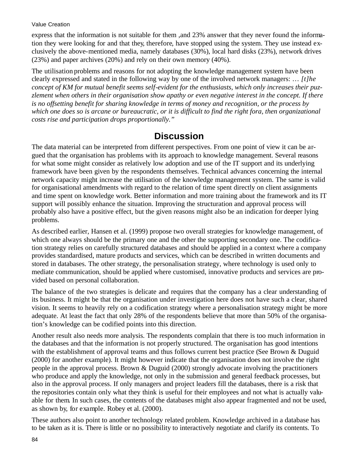express that the information is not suitable for them ,and 23% answer that they never found the information they were looking for and that they, therefore, have stopped using the system. They use instead exclusively the above-mentioned media, namely databases (30%), local hard disks (23%), network drives (23%) and paper archives (20%) and rely on their own memory (40%).

The utilisation problems and reasons for not adopting the knowledge management system have been clearly expressed and stated in the following way by one of the involved network managers: … *[t]he concept of KM for mutual benefit seems self-evident for the enthusiasts, which only increases their puzzlement when others in their organisation show apathy or even negative interest in the concept. If there is no offsetting benefit for sharing knowledge in terms of money and recognition, or the process by which one does so is arcane or bureaucratic, or it is difficult to find the right fora, then organizational costs rise and participation drops proportionally."*

# **Discussion**

The data material can be interpreted from different perspectives. From one point of view it can be argued that the organisation has problems with its approach to knowledge management. Several reasons for what some might consider as relatively low adoption and use of the IT support and its underlying framework have been given by the respondents themselves. Technical advances concerning the internal network capacity might increase the utilisation of the knowledge management system. The same is valid for organisational amendments with regard to the relation of time spent directly on client assignments and time spent on knowledge work. Better information and more training about the framework and its IT support will possibly enhance the situation. Improving the structuration and approval process will probably also have a positive effect, but the given reasons might also be an indication for deeper lying problems.

As described earlier, Hansen et al. (1999) propose two overall strategies for knowledge management, of which one always should be the primary one and the other the supporting secondary one. The codification strategy relies on carefully structured databases and should be applied in a context where a company provides standardised, mature products and services, which can be described in written documents and stored in databases. The other strategy, the personalisation strategy, where technology is used only to mediate communication, should be applied where customised, innovative products and services are provided based on personal collaboration.

The balance of the two strategies is delicate and requires that the company has a clear understanding of its business. It might be that the organisation under investigation here does not have such a clear, shared vision. It seems to heavily rely on a codification strategy where a personalisation strategy might be more adequate. At least the fact that only 28% of the respondents believe that more than 50% of the organisation's knowledge can be codified points into this direction.

Another result also needs more analysis. The respondents complain that there is too much information in the databases and that the information is not properly structured. The organisation has good intentions with the establishment of approval teams and thus follows current best practice (See Brown & Duguid (2000) for another example). It might however indicate that the organisation does not involve the right people in the approval process. Brown & Duguid (2000) strongly advocate involving the practitioners who produce and apply the knowledge, not only in the submission and general feedback processes, but also in the approval process. If only managers and project leaders fill the databases, there is a risk that the repositories contain only what they think is useful for their employees and not what is actually valuable for them. In such cases, the contents of the databases might also appear fragmented and not be used, as shown by, for example. Robey et al. (2000).

These authors also point to another technology related problem. Knowledge archived in a database has to be taken as it is. There is little or no possibility to interactively negotiate and clarify its contents. To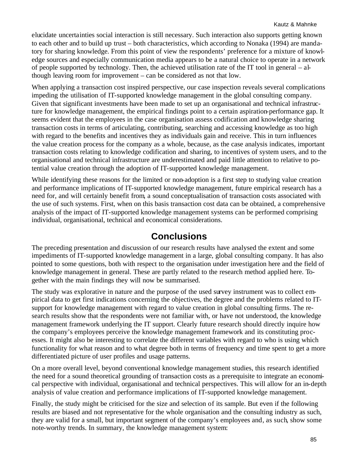elucidate uncertainties social interaction is still necessary. Such interaction also supports getting known to each other and to build up trust – both characteristics, which according to Nonaka (1994) are mandatory for sharing knowledge. From this point of view the respondents' preference for a mixture of knowledge sources and especially communication media appears to be a natural choice to operate in a network of people supported by technology. Then, the achieved utilisation rate of the IT tool in general – although leaving room for improvement – can be considered as not that low.

When applying a transaction cost inspired perspective, our case inspection reveals several complications impeding the utilisation of IT-supported knowledge management in the global consulting company. Given that significant investments have been made to set up an organisational and technical infrastructure for knowledge management, the empirical findings point to a certain aspiration-performance gap. It seems evident that the employees in the case organisation assess codification and knowledge sharing transaction costs in terms of articulating, contributing, searching and accessing knowledge as too high with regard to the benefits and incentives they as individuals gain and receive. This in turn influences the value creation process for the company as a whole, because, as the case analysis indicates, important transaction costs relating to knowledge codification and sharing, to incentives of system users, and to the organisational and technical infrastructure are underestimated and paid little attention to relative to potential value creation through the adoption of IT-supported knowledge management.

While identifying these reasons for the limited or non-adoption is a first step to studying value creation and performance implications of IT-supported knowledge management, future empirical research has a need for, and will certainly benefit from, a sound conceptualisation of transaction costs associated with the use of such systems. First, when on this basis transaction cost data can be obtained, a comprehensive analysis of the impact of IT-supported knowledge management systems can be performed comprising individual, organisational, technical and economical considerations.

# **Conclusions**

The preceding presentation and discussion of our research results have analysed the extent and some impediments of IT-supported knowledge management in a large, global consulting company. It has also pointed to some questions, both with respect to the organisation under investigation here and the field of knowledge management in general. These are partly related to the research method applied here. Together with the main findings they will now be summarised.

The study was explorative in nature and the purpose of the used survey instrument was to collect empirical data to get first indications concerning the objectives, the degree and the problems related to ITsupport for knowledge management with regard to value creation in global consulting firms. The research results show that the respondents were not familiar with, or have not understood, the knowledge management framework underlying the IT support. Clearly future research should directly inquire how the company's employees perceive the knowledge management framework and its constituting processes. It might also be interesting to correlate the different variables with regard to who is using which functionality for what reason and to what degree both in terms of frequency and time spent to get a more differentiated picture of user profiles and usage patterns.

On a more overall level, beyond conventional knowledge management studies, this research identified the need for a sound theoretical grounding of transaction costs as a prerequisite to integrate an economical perspective with individual, organisational and technical perspectives. This will allow for an in-depth analysis of value creation and performance implications of IT-supported knowledge management.

Finally, the study might be criticised for the size and selection of its sample. But even if the following results are biased and not representative for the whole organisation and the consulting industry as such, they are valid for a small, but important segment of the company's employees and, as such, show some note-worthy trends. In summary, the knowledge management system: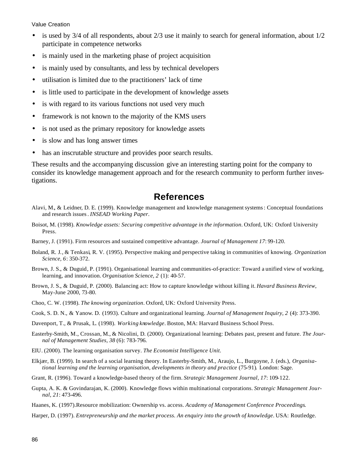- is used by 3/4 of all respondents, about 2/3 use it mainly to search for general information, about 1/2 participate in competence networks
- is mainly used in the marketing phase of project acquisition
- is mainly used by consultants, and less by technical developers
- utilisation is limited due to the practitioners' lack of time
- is little used to participate in the development of knowledge assets
- is with regard to its various functions not used very much
- framework is not known to the majority of the KMS users
- is not used as the primary repository for knowledge assets
- is slow and has long answer times
- has an inscrutable structure and provides poor search results.

These results and the accompanying discussion give an interesting starting point for the company to consider its knowledge management approach and for the research community to perform further investigations.

## **References**

- Alavi, M., & Leidner, D. E. (1999). Knowledge management and knowledge management systems: Conceptual foundations and research issues. *INSEAD Working Paper*.
- Boisot, M. (1998). *Knowledge assets: Securing competitive advantage in the information*. Oxford, UK: Oxford University Press.
- Barney, J. (1991). Firm resources and sustained competitive advantage. *Journal of Management 17*: 99-120.
- Boland, R. J., & Tenkasi, R. V. (1995). Perspective making and perspective taking in communities of knowing. *Organization Science, 6*: 350-372.
- Brown, J. S., & Duguid, P. (1991). Organisational learning and communities-of-practice: Toward a unified view of working, learning, and innovation. *Organisation Science, 2* (1): 40-57.
- Brown, J. S., & Duguid, P. (2000). Balancing act: How to capture knowledge without killing it. *Havard Business Review*, May-June 2000, 73-80.
- Choo, C. W. (1998). *The knowing organization*. Oxford, UK: Oxford University Press.
- Cook, S. D. N., & Yanow. D. (1993). Culture and organizational learning. *Journal of Management Inquiry, 2* (4): 373-390.
- Davenport, T., & Prusak, L. (1998). *Working knowledge*. Boston, MA: Harvard Business School Press.
- Easterby-Smith, M., Crossan, M., & Nicolini, D. (2000). Organizational learning: Debates past, present and future. *The Journal of Management Studies, 38* (6): 783-796.
- EIU. (2000). The learning organisation survey. *The Economist Intelligence Unit*.
- Elkjær, B. (1999). In search of a social learning theory. In Easterby-Smith, M., Araujo, L., Burgoyne, J. (eds.), *Organisational learning and the learning organisation, developments in theory and practice* (75-91). London: Sage.
- Grant, R. (1996). Toward a knowledge-based theory of the firm. *Strategic Management Journal, 17*: 109-122.
- Gupta, A. K. & Govindarajan, K. (2000). Knowledge flows within multinational corporations. *Strategic Management Journal, 21*: 473-496.
- Haanes, K. (1997).Resource mobilization: Ownership vs. access. *Academy of Management Conference Proceedings*.
- Harper, D. (1997). *Entrepreneurship and the market process. An enquiry into the growth of knowledge*. USA: Routledge.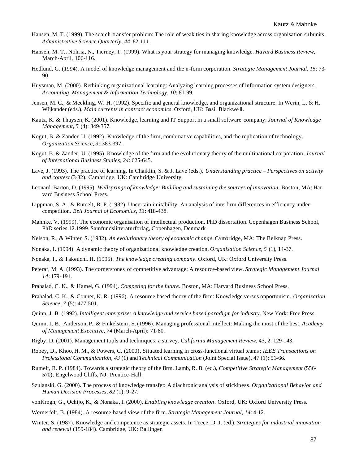- Hansen, M. T. (1999). The search-transfer problem: The role of weak ties in sharing knowledge across organisation subunits. *Administrative Science Quarterly, 44*: 82-111.
- Hansen, M. T., Nohria, N., Tierney, T. (1999). What is your strategy for managing knowledge. *Havard Business Review*, March-April, 106-116.
- Hedlund, G. (1994). A model of knowledge management and the n-form corporation. *Strategic Management Journal, 15*: 73- 90.
- Huysman, M. (2000). Rethinking organizational learning: Analyzing learning processes of information system designers. *Accounting, Management & Information Technology, 10*: 81-99.
- Jensen, M. C., & Meckling, W. H. (1992). Specific and general knowledge, and organizational structure. In Werin, L. & H. Wijkander (eds.), *Main currents in contract economics*. Oxford, UK: Basil Blackwe ll.
- Kautz, K. & Thaysen, K. (2001). Knowledge, learning and IT Support in a small software company. *Journal of Knowledge Management, 5* (4): 349-357.
- Kogut, B. & Zander, U. (1992). Knowledge of the firm, combinative capabilities, and the replication of technology. *Organization Science, 3*: 383-397.
- Kogut, B. & Zander, U. (1995). Knowledge of the firm and the evolutionary theory of the multinational corporation. *Journal of International Business Studies, 24*: 625-645.
- Lave, J. (1993). The practice of learning. In Chaiklin, S. & J. Lave (eds.), *Understanding practice Perspectives on activity and context* (3-32). Cambridge, UK: Cambridge University.
- Leonard-Barton, D. (1995). *Wellsprings of knowledge: Building and sustaining the sources of innovation*. Boston, MA: Harvard Business School Press.
- Lippman, S. A., & Rumelt, R. P. (1982). Uncertain imitability: An analysis of interfirm differences in efficiency under competition. *Bell Journal of Economics, 13*: 418-438.
- Mahnke, V. (1999). The economic organisation of intellectual production. PhD dissertation. Copenhagen Business School, PhD series 12.1999. Samfundslitteraturforlag, Copenhagen, Denmark.
- Nelson, R., & Winter, S. (1982). *An evolutionary theory of economic change*. Cambridge, MA: The Belknap Press.
- Nonaka, I. (1994). A dynamic theory of organizational knowledge creation. *Organisation Science, 5* (1), 14-37.
- Nonaka, I., & Takeuchi, H. (1995). *The knowledge creating company*. Oxford, UK: Oxford University Press.
- Peteraf, M. A. (1993). The cornerstones of competitive advantage: A resource-based view. *Strategic Management Journal 14*: 179-191.
- Prahalad, C. K., & Hamel, G. (1994). *Competing for the future*. Boston, MA: Harvard Business School Press.
- Prahalad, C. K., & Conner, K. R. (1996). A resource based theory of the firm: Knowledge versus opportunism. *Organization Science, 7* (5): 477-501.
- Quinn, J. B. (1992). *Intelligent enterprise: A knowledge and service based paradigm for industry*. New York: Free Press.
- Quinn, J. B., Anderson, P., & Finkelstein, S. (1996). Managing professional intellect: Making the most of the best. *Academy of Management Executive, 74* (March-April): 71-80.
- Rigby, D. (2001). Management tools and techniques: a survey. *California Management Review, 43*, 2: 129-143.
- Robey, D., Khoo, H. M., & Powers, C. (2000). Situated learning in cross-functional virtual teams: *IEEE Transactions on Professional Communication, 43* (1) and *Technical Communication* (Joint Special Issue), 47 (1): 51-66.
- Rumelt, R. P. (1984). Towards a strategic theory of the firm. Lamb, R. B. (ed.), *Competitive Strategic Management* (556- 570). Engelwood Cliffs, NJ: Prentice-Hall.
- Szulanski, G. (2000). The process of knowledge transfer: A diachronic analysis of stickiness. *Organizational Behavior and Human Decision Processes, 82* (1): 9-27.
- vonKrogh, G., Ochijo, K., & Nonaka , I. (2000). *Enabling knowledge creation*. Oxford, UK: Oxford University Press.
- Wernerfelt, B. (1984). A resource-based view of the firm. *Strategic Management Journal, 14*: 4-12.
- Winter, S. (1987). Knowledge and competence as strategic assets. In Teece, D. J. (ed.), *Strategies for industrial innovation and renewal* (159-184). Cambridge, UK: Ballinger.